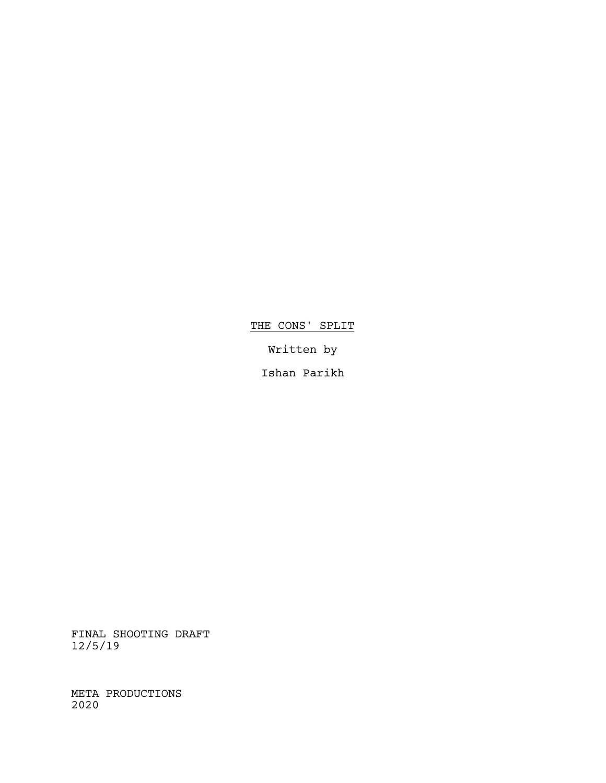THE CONS' SPLIT

Written by

Ishan Parikh

FINAL SHOOTING DRAFT 12/5/19

META PRODUCTIONS 2020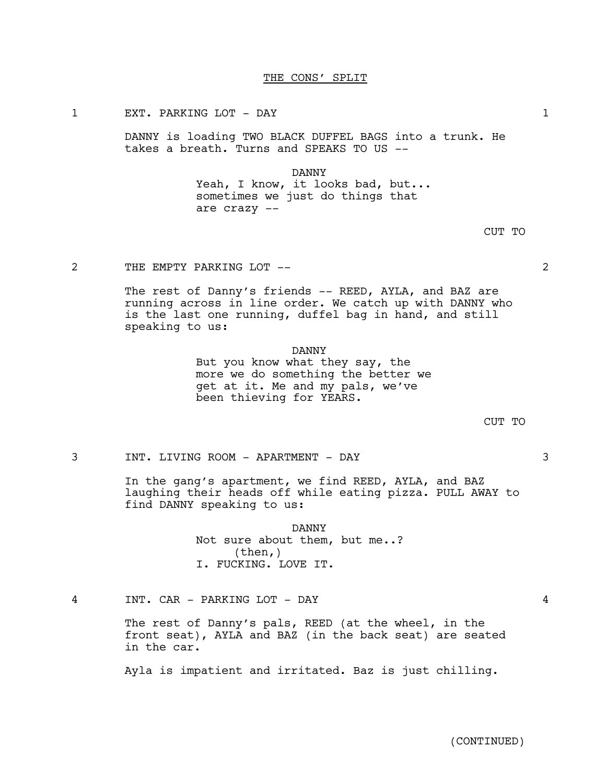### THE CONS' SPLIT

# 1 EXT. PARKING LOT - DAY 1

DANNY is loading TWO BLACK DUFFEL BAGS into a trunk. He takes a breath. Turns and SPEAKS TO US --

#### DANNY

Yeah, I know, it looks bad, but... sometimes we just do things that are crazy --

2 THE EMPTY PARKING LOT -- 2

The rest of Danny's friends -- REED, AYLA, and BAZ are running across in line order. We catch up with DANNY who is the last one running, duffel bag in hand, and still speaking to us:

# DANNY

But you know what they say, the more we do something the better we get at it. Me and my pals, we've been thieving for YEARS.

CUT TO

3 INT. LIVING ROOM - APARTMENT - DAY 3

In the gang's apartment, we find REED, AYLA, and BAZ laughing their heads off while eating pizza. PULL AWAY to find DANNY speaking to us:

> DANNY Not sure about them, but me..? (then,) I. FUCKING. LOVE IT.

4 INT. CAR - PARKING LOT - DAY 4

The rest of Danny's pals, REED (at the wheel, in the front seat), AYLA and BAZ (in the back seat) are seated in the car.

Ayla is impatient and irritated. Baz is just chilling.

CUT TO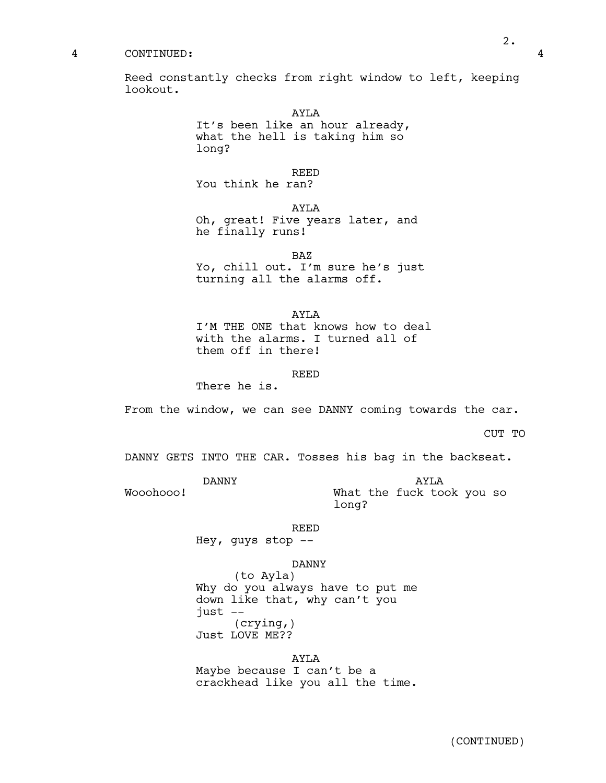#### 4 CONTINUED: 4

Reed constantly checks from right window to left, keeping lookout.

> AYLA It's been like an hour already, what the hell is taking him so long?

> > REED

You think he ran?

AYLA Oh, great! Five years later, and he finally runs!

BAZ Yo, chill out. I'm sure he's just turning all the alarms off.

AYLA I'M THE ONE that knows how to deal with the alarms. I turned all of them off in there!

REED

There he is.

From the window, we can see DANNY coming towards the car.

CUT TO

DANNY GETS INTO THE CAR. Tosses his bag in the backseat.

DANNY

Wooohooo!

AYLA What the fuck took you so long?

REED

Hey, guys stop --

DANNY

(to Ayla) Why do you always have to put me down like that, why can't you just -- (crying,) Just LOVE ME??

# AYLA

Maybe because I can't be a crackhead like you all the time.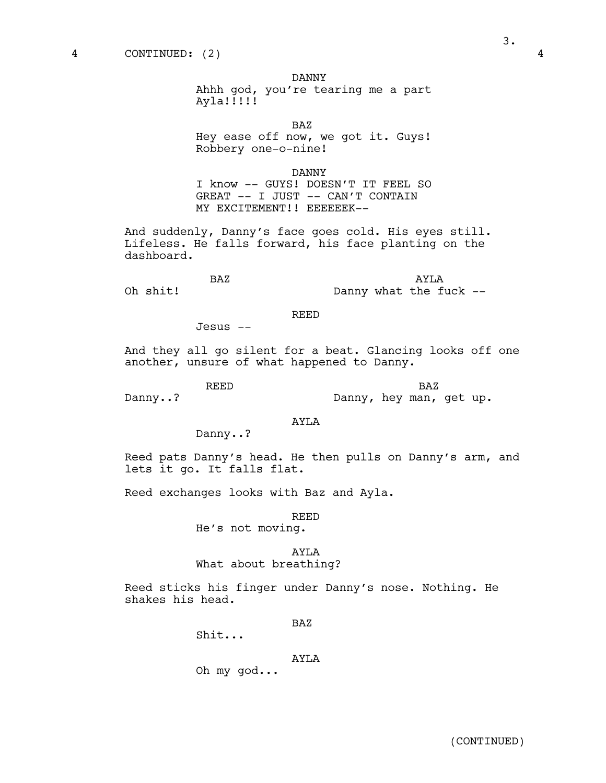DANNY

Ahhh god, you're tearing me a part Ayla!!!!!

BAZ

Hey ease off now, we got it. Guys! Robbery one-o-nine!

DANNY

I know -- GUYS! DOESN'T IT FEEL SO GREAT -- I JUST -- CAN'T CONTAIN MY EXCITEMENT!! EEEEEEK--

And suddenly, Danny's face goes cold. His eyes still. Lifeless. He falls forward, his face planting on the dashboard.

| BAZ      |  |  | AYT.A                  |  |  |  |  |
|----------|--|--|------------------------|--|--|--|--|
| Oh shit! |  |  | Danny what the fuck -- |  |  |  |  |

#### REED

Jesus --

And they all go silent for a beat. Glancing looks off one another, unsure of what happened to Danny.

REED

Danny..?

BAZ Danny, hey man, get up.

Danny..?

AYLA

Reed pats Danny's head. He then pulls on Danny's arm, and lets it go. It falls flat.

Reed exchanges looks with Baz and Ayla.

REED

He's not moving.

#### AYLA

What about breathing?

Reed sticks his finger under Danny's nose. Nothing. He shakes his head.

BAZ

Shit...

### AYLA

Oh my god...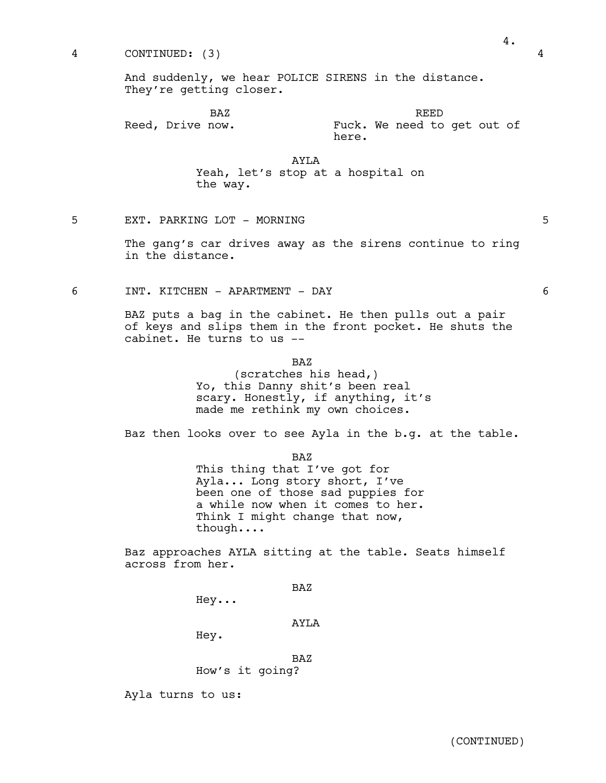And suddenly, we hear POLICE SIRENS in the distance. They're getting closer.

BAZ Reed, Drive now.

Fuck. We need to get out of here.

REED

AYLA

Yeah, let's stop at a hospital on the way.

5 EXT. PARKING LOT - MORNING 5

The gang's car drives away as the sirens continue to ring in the distance.

6 INT. KITCHEN - APARTMENT - DAY 6

BAZ puts a bag in the cabinet. He then pulls out a pair of keys and slips them in the front pocket. He shuts the cabinet. He turns to us --

BAZ

(scratches his head,) Yo, this Danny shit's been real scary. Honestly, if anything, it's made me rethink my own choices.

Baz then looks over to see Ayla in the b.g. at the table.

BAZ This thing that I've got for Ayla... Long story short, I've been one of those sad puppies for a while now when it comes to her.<br>Think I might change that now,<br>though....

Baz approaches AYLA sitting at the table. Seats himself across from her.

BAZ

Hey...

AYLA

Hey.

BAZ

How's it going?

Ayla turns to us: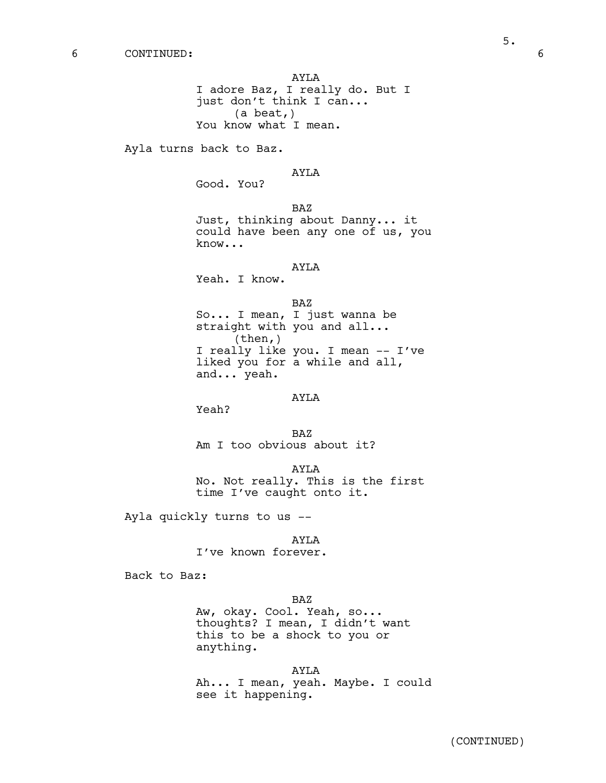AYLA I adore Baz, I really do. But I just don't think I can... (a beat,) You know what I mean.

Ayla turns back to Baz.

#### AYLA

Good. You?

BAZ Just, thinking about Danny... it could have been any one of us, you know...

#### AYLA

Yeah. I know.

So... I mean, I just wanna be straight with you and all... (then,) I really like you. I mean -- I've liked you for a while and all, and... yeah.

### AYLA

Yeah?

BAZ Am I too obvious about it?

AYLA No. Not really. This is the first time I've caught onto it.

Ayla quickly turns to us --

AYLA I've known forever.

Back to Baz:

BAZ

Aw, okay. Cool. Yeah, so... thoughts? I mean, I didn't want this to be a shock to you or anything.

AYLA Ah... I mean, yeah. Maybe. I could see it happening.

BAZ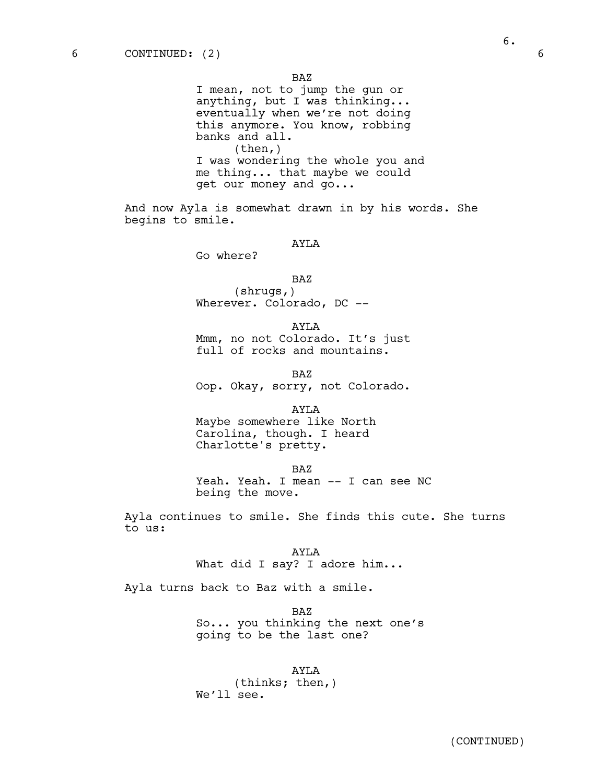BAZ

I mean, not to jump the gun or anything, but I was thinking... eventually when we're not doing this anymore. You know, robbing banks and all. (then,) I was wondering the whole you and me thing... that maybe we could get our money and go...

And now Ayla is somewhat drawn in by his words. She begins to smile.

# AYLA

Go where?

BAZ (shrugs,)

Wherever. Colorado, DC --

AYLA Mmm, no not Colorado. It's just full of rocks and mountains.

BAZ Oop. Okay, sorry, not Colorado.

AYLA Maybe somewhere like North Carolina, though. I heard Charlotte's pretty.

BAZ

Yeah. Yeah. I mean -- I can see NC being the move.

Ayla continues to smile. She finds this cute. She turns to us:

> AYLA What did I say? I adore him...

Ayla turns back to Baz with a smile.

BAZ So... you thinking the next one's going to be the last one?

AYLA (thinks; then,) We'll see.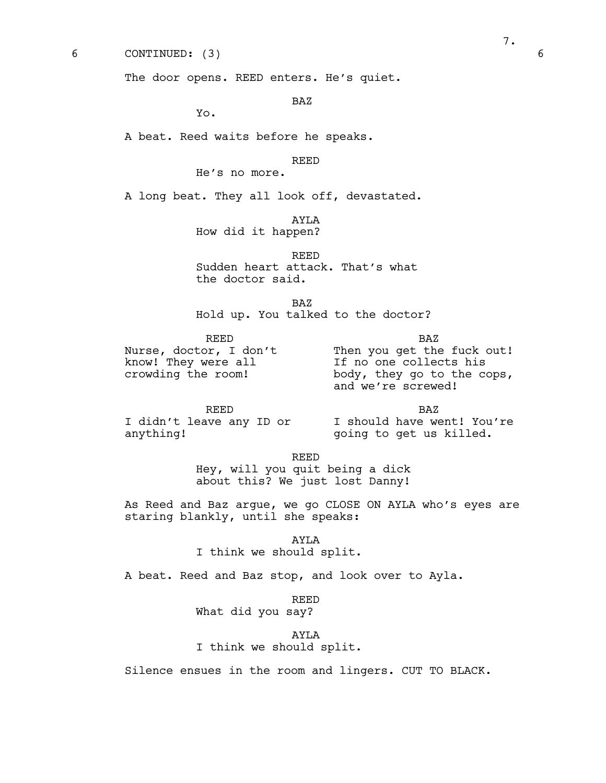6 CONTINUED: (3) 6

The door opens. REED enters. He's quiet.

BAZ

Yo.

A beat. Reed waits before he speaks.

REED

He's no more.

A long beat. They all look off, devastated.

AYLA

How did it happen?

REED Sudden heart attack. That's what the doctor said.

BAZ Hold up. You talked to the doctor?

REED Nurse, doctor, I don't know! They were all crowding the room!

BAZ Then you get the fuck out! If no one collects his body, they go to the cops, and we're screwed!

REED anything!

I didn't leave any ID or I should have went! You're BAZ going to get us killed.

REED

Hey, will you quit being a dick about this? We just lost Danny!

As Reed and Baz argue, we go CLOSE ON AYLA who's eyes are staring blankly, until she speaks:

> AYLA I think we should split.

A beat. Reed and Baz stop, and look over to Ayla.

REED

What did you say?

AYLA I think we should split.

Silence ensues in the room and lingers. CUT TO BLACK.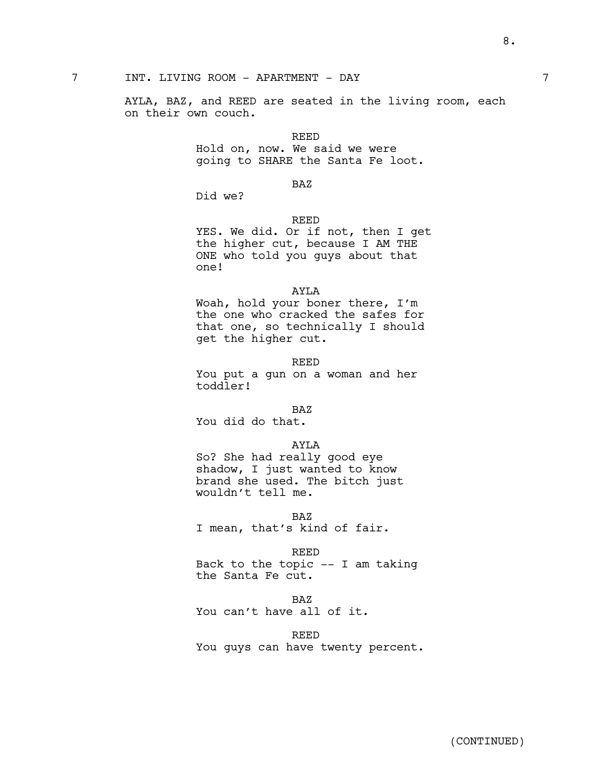AYLA, BAZ, and REED are seated in the living room, each on their own couch.

#### REED

Hold on, now. We said we were going to SHARE the Santa Fe loot.

### BAZ

Did we?

# REED

YES. We did. Or if not, then I get the higher cut, because I AM THE ONE who told you guys about that one!

### AYLA

Woah, hold your boner there, I'm the one who cracked the safes for that one, so technically I should get the higher cut.

REED You put a gun on a woman and her toddler!

#### BAZ

You did do that.

#### AYLA

So? She had really good eye shadow, I just wanted to know brand she used. The bitch just wouldn't tell me.

BAZ

I mean, that's kind of fair.

REED

Back to the topic -- I am taking the Santa Fe cut.

#### BAZ

You can't have all of it.

REED

You guys can have twenty percent.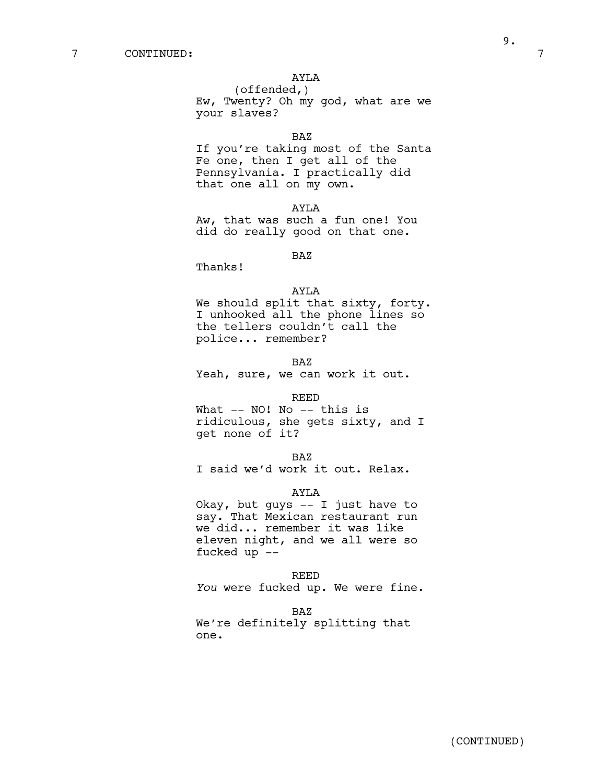(offended,) Ew, Twenty? Oh my god, what are we your slaves?

# BAZ

If you're taking most of the Santa Fe one, then I get all of the Pennsylvania. I practically did that one all on my own.

AYLA

Aw, that was such a fun one! You did do really good on that one.

BAZ

Thanks!

#### AYLA

We should split that sixty, forty. I unhooked all the phone lines so the tellers couldn't call the police... remember?

BAZ Yeah, sure, we can work it out.

#### REED

What -- NO! No -- this is ridiculous, she gets sixty, and I get none of it?

BAZ

I said we'd work it out. Relax.

#### AYLA

Okay, but guys -- I just have to say. That Mexican restaurant run we did... remember it was like eleven night, and we all were so fucked up --

REED

*You* were fucked up. We were fine.

BAZ We're definitely splitting that one.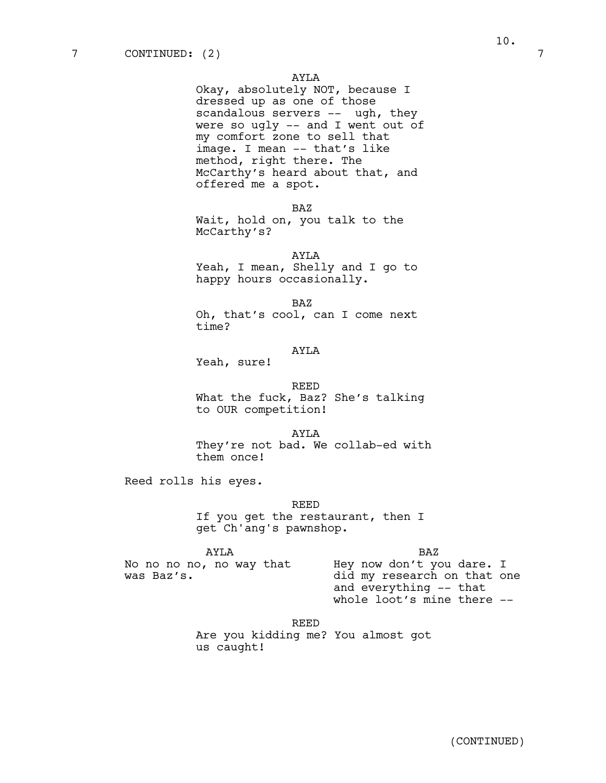Okay, absolutely NOT, because I dressed up as one of those scandalous servers -- ugh, they were so ugly  $--$  and I went out of my comfort zone to sell that image. I mean -- that's like method, right there. The McCarthy's heard about that, and offered me a spot.

BAZ

Wait, hold on, you talk to the McCarthy's?

AYLA

Yeah, I mean, Shelly and I go to happy hours occasionally.

BAZ

Oh, that's cool, can I come next time?

#### AYLA

Yeah, sure!

REED

What the fuck, Baz? She's talking to OUR competition!

AYLA They're not bad. We collab-ed with them once!

Reed rolls his eyes.

was Baz's.

REED

If you get the restaurant, then I get Ch'ang's pawnshop.

AYLA No no no no, no way that BAZ

Hey now don't you dare. I did my research on that one and everything -- that whole loot's mine there --

REED Are you kidding me? You almost got us caught!

(CONTINUED)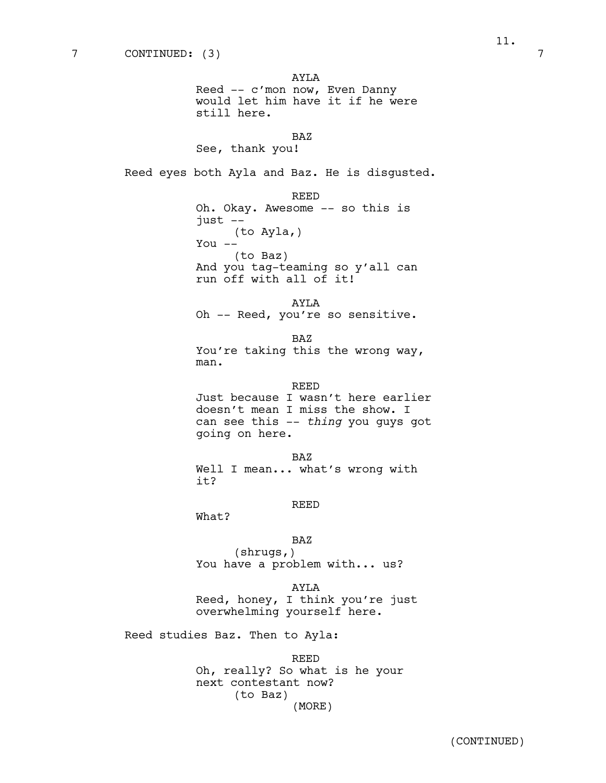AYLA

Reed -- c'mon now, Even Danny would let him have it if he were still here.

BAZ

See, thank you!

Reed eyes both Ayla and Baz. He is disgusted.

REED Oh. Okay. Awesome -- so this is just -- (to Ayla,) You -- (to Baz) And you tag-teaming so y'all can run off with all of it!

AYLA Oh -- Reed, you're so sensitive.

BAZ You're taking this the wrong way, man.

REED

Just because I wasn't here earlier doesn't mean I miss the show. I can see this -- *thing* you guys got going on here.

BAZ Well I mean... what's wrong with it?

REED

What?

BAZ

(shrugs,) You have a problem with... us?

AYLA

Reed, honey, I think you're just overwhelming yourself here.

Reed studies Baz. Then to Ayla:

REED Oh, really? So what is he your next contestant now? (to Baz) (MORE)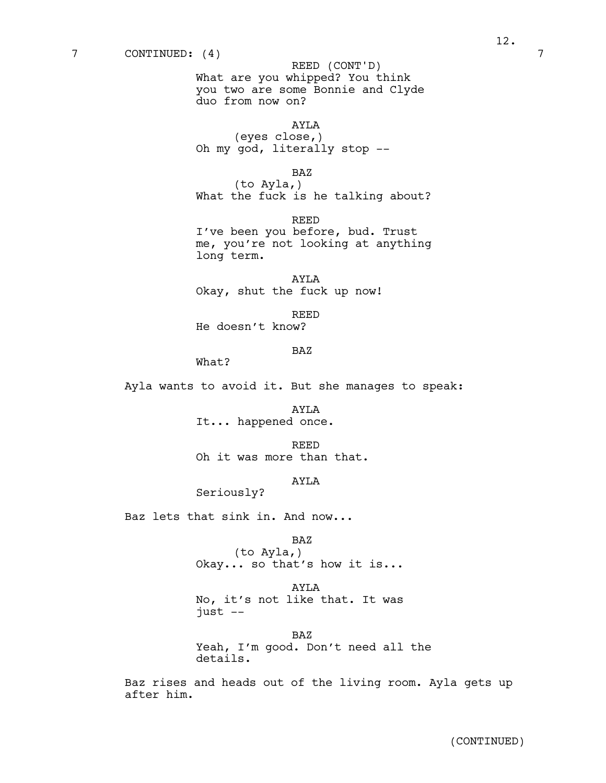What are you whipped? You think you two are some Bonnie and Clyde duo from now on? REED (CONT'D)

AYLA (eyes close,) Oh my god, literally stop --

BAZ

(to Ayla,) What the fuck is he talking about?

REED I've been you before, bud. Trust me, you're not looking at anything long term.

AYLA Okay, shut the fuck up now!

REED

He doesn't know?

# BAZ

What?

Ayla wants to avoid it. But she manages to speak:

AYLA It... happened once.

REED Oh it was more than that.

# AYLA

Seriously?

Baz lets that sink in. And now...

# BAZ

(to Ayla,) Okay... so that's how it is...

AYLA No, it's not like that. It was just --

BAZ Yeah, I'm good. Don't need all the details.

Baz rises and heads out of the living room. Ayla gets up after him.

(CONTINUED)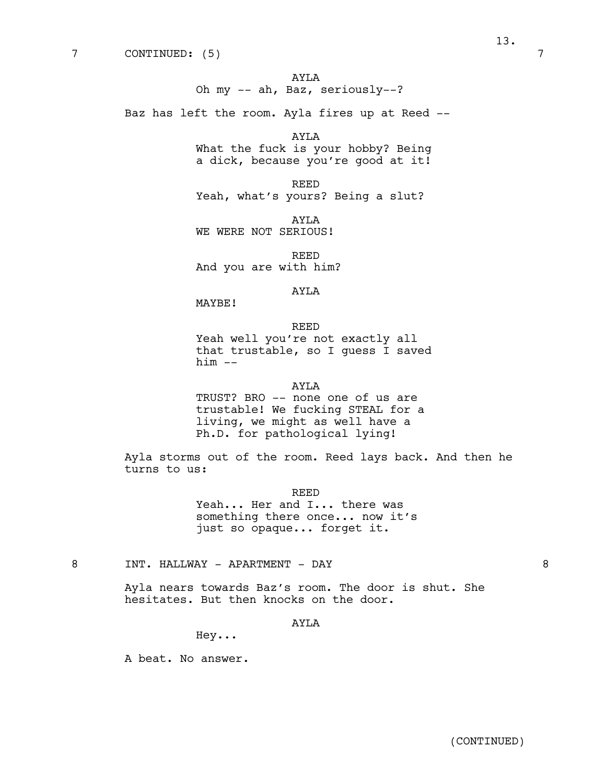AYLA Oh my -- ah, Baz, seriously--?

Baz has left the room. Ayla fires up at Reed --

AYLA What the fuck is your hobby? Being a dick, because you're good at it!

REED Yeah, what's yours? Being a slut?

AYLA WE WERE NOT SERIOUS!

REED And you are with him?

# AYLA

MAYBE!

#### REED

Yeah well you're not exactly all that trustable, so I guess I saved  $him$   $--$ 

# AYLA

TRUST? BRO -- none one of us are trustable! We fucking STEAL for a living, we might as well have a Ph.D. for pathological lying!

Ayla storms out of the room. Reed lays back. And then he turns to us:

> REED Yeah... Her and I... there was something there once... now it's just so opaque... forget it.

8 INT. HALLWAY - APARTMENT - DAY 8

Ayla nears towards Baz's room. The door is shut. She hesitates. But then knocks on the door.

# AYLA

Hey...

A beat. No answer.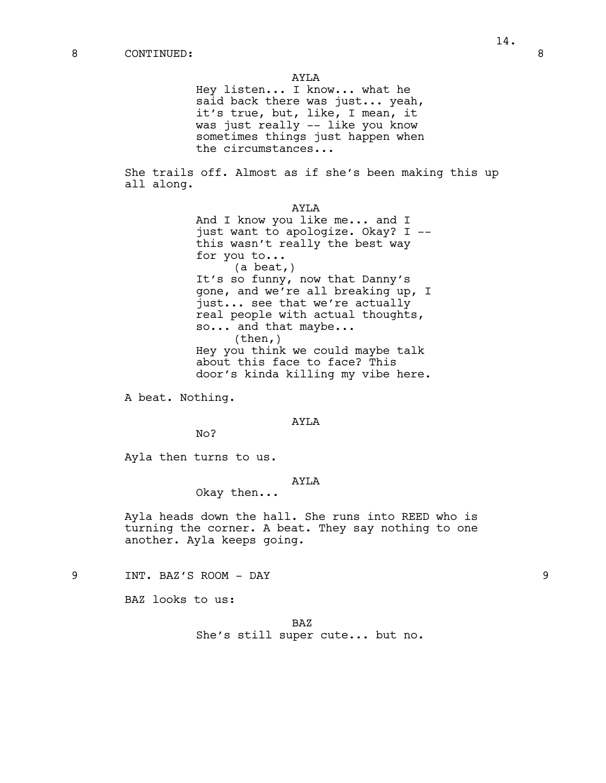Hey listen... I know... what he said back there was just... yeah, it's true, but, like, I mean, it was just really -- like you know sometimes things just happen when the circumstances...

She trails off. Almost as if she's been making this up all along.

> AYLA And I know you like me... and I just want to apologize. Okay? I - this wasn't really the best way for you to... (a beat,) It's so funny, now that Danny's gone, and we're all breaking up, I just... see that we're actually real people with actual thoughts, so... and that maybe...  $(then, )$ Hey you think we could maybe talk about this face to face? This door's kinda killing my vibe here.

A beat. Nothing.

# AYLA

No?

Ayla then turns to us.

# AYLA

Okay then...

Ayla heads down the hall. She runs into REED who is turning the corner. A beat. They say nothing to one another. Ayla keeps going.

9 INT. BAZ'S ROOM - DAY 9

BAZ looks to us:

BAZ She's still super cute... but no.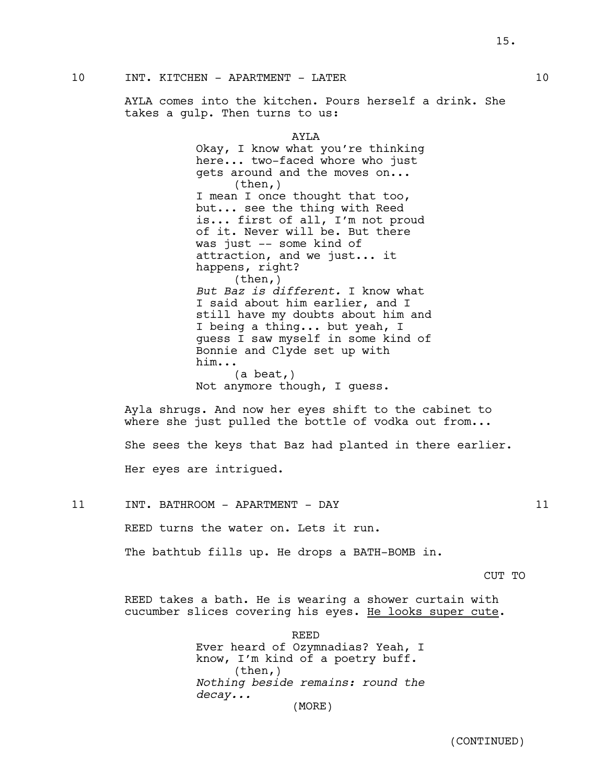10 INT. KITCHEN - APARTMENT - LATER 10

AYLA comes into the kitchen. Pours herself a drink. She takes a gulp. Then turns to us:

> AYLA Okay, I know what you're thinking here... two-faced whore who just gets around and the moves on... (then,) I mean I once thought that too, but... see the thing with Reed is... first of all, I'm not proud of it. Never will be. But there was just -- some kind of attraction, and we just... it happens, right? (then,) *But Baz is different.* I know what I said about him earlier, and I still have my doubts about him and I being a thing... but yeah, I guess I saw myself in some kind of Bonnie and Clyde set up with him... (a beat,) Not anymore though, I guess.

Ayla shrugs. And now her eyes shift to the cabinet to where she just pulled the bottle of vodka out from...

She sees the keys that Baz had planted in there earlier.

Her eyes are intrigued.

11 INT. BATHROOM - APARTMENT - DAY 11 REED turns the water on. Lets it run.

The bathtub fills up. He drops a BATH-BOMB in.

#### CUT TO

REED takes a bath. He is wearing a shower curtain with cucumber slices covering his eyes. He looks super cute.

> REED Ever heard of Ozymnadias? Yeah, I know, I'm kind of a poetry buff. (then,) *Nothing beside remains: round the decay...* (MORE)

> > (CONTINUED)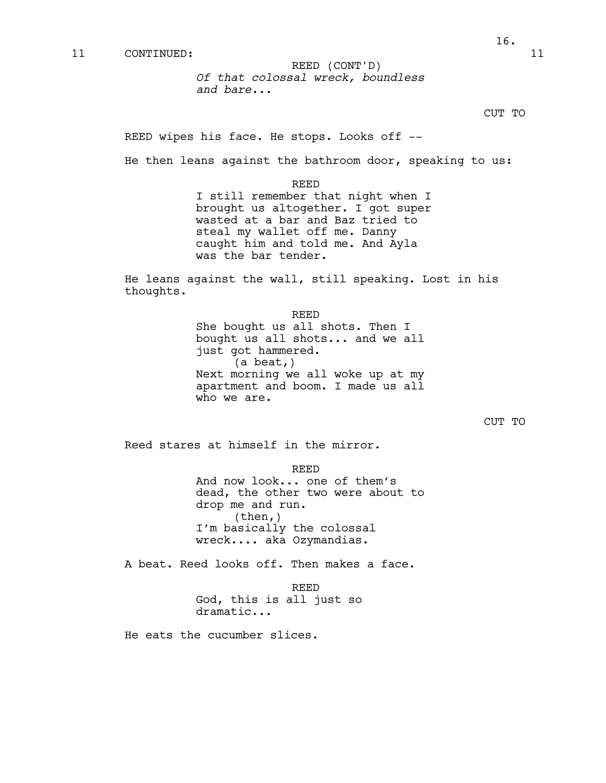*Of that colossal wreck, boundless and bare...* REED (CONT'D)

REED wipes his face. He stops. Looks off --

He then leans against the bathroom door, speaking to us:

REED

I still remember that night when I brought us altogether. I got super wasted at a bar and Baz tried to steal my wallet off me. Danny caught him and told me. And Ayla was the bar tender.

He leans against the wall, still speaking. Lost in his thoughts.

> REED She bought us all shots. Then I bought us all shots... and we all just got hammered. (a beat,) Next morning we all woke up at my apartment and boom. I made us all who we are.

```
CUT TO
```
Reed stares at himself in the mirror.

REED

And now look... one of them's dead, the other two were about to drop me and run.<br>(then,) I'm basically the colossal wreck.... aka Ozymandias.

A beat. Reed looks off. Then makes a face.

REED God, this is all just so dramatic...

He eats the cucumber slices.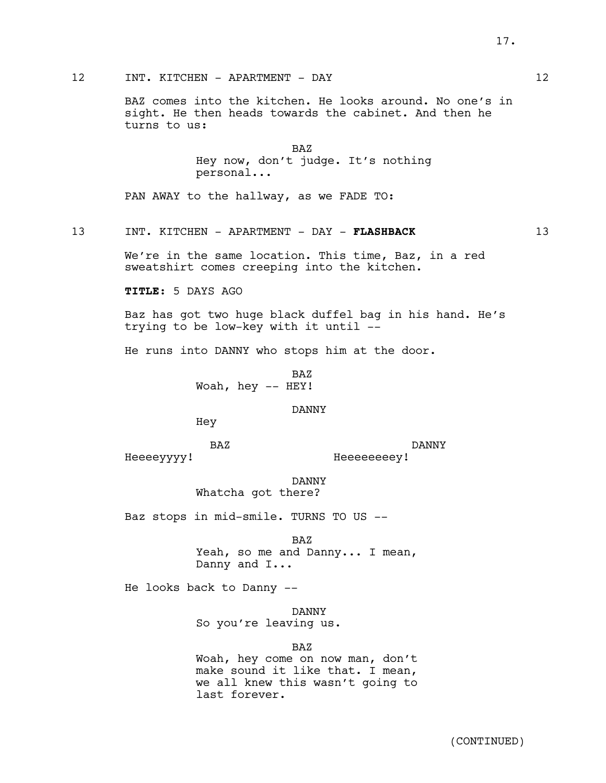(CONTINUED)

12 INT. KITCHEN - APARTMENT - DAY 12

BAZ comes into the kitchen. He looks around. No one's in sight. He then heads towards the cabinet. And then he turns to us:

> BAZ Hey now, don't judge. It's nothing personal...

PAN AWAY to the hallway, as we FADE TO:

13 INT. KITCHEN - APARTMENT - DAY - **FLASHBACK** 13

We're in the same location. This time, Baz, in a red sweatshirt comes creeping into the kitchen.

**TITLE:** 5 DAYS AGO

Baz has got two huge black duffel bag in his hand. He's trying to be low-key with it until --

He runs into DANNY who stops him at the door.

BAZ Woah, hey -- HEY!

DANNY

Hey

BAZ

DANNY

Heeeeyyyy!

Heeeeeeeey!

DANNY Whatcha got there?

Baz stops in mid-smile. TURNS TO US --

BAZ Yeah, so me and Danny... I mean, Danny and I...

He looks back to Danny --

DANNY

So you're leaving us.

BAZ

Woah, hey come on now man, don't make sound it like that. I mean, we all knew this wasn't going to last forever.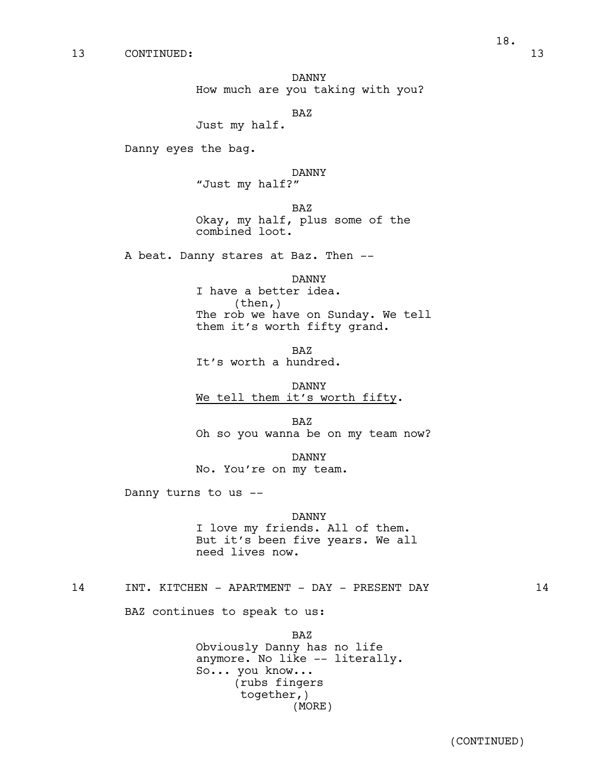DANNY How much are you taking with you?

BAZ

Just my half.

Danny eyes the bag.

DANNY "Just my half?"

BAZ Okay, my half, plus some of the combined loot.

A beat. Danny stares at Baz. Then --

DANNY I have a better idea. (then,) The rob we have on Sunday. We tell them it's worth fifty grand.

BAZ It's worth a hundred.

DANNY We tell them it's worth fifty.

BAZ Oh so you wanna be on my team now?

DANNY No. You're on my team.

Danny turns to us --

DANNY<br>I love my friends. All of them. But it's been five years. We all need lives now.

14 INT. KITCHEN - APARTMENT - DAY - PRESENT DAY 14

BAZ continues to speak to us:

BAZ Obviously Danny has no life anymore. No like -- literally. So... you know... (rubs fingers together,) (MORE)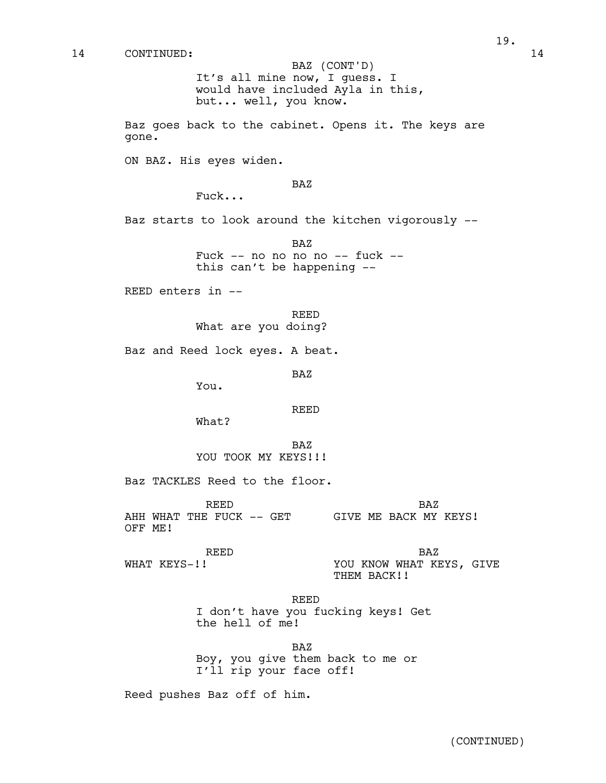It's all mine now, I guess. I would have included Ayla in this, but... well, you know. BAZ (CONT'D)

Baz goes back to the cabinet. Opens it. The keys are gone.

ON BAZ. His eyes widen.

#### BAZ

Fuck...

Baz starts to look around the kitchen vigorously --

BAZ Fuck -- no no no no -- fuck - this can't be happening --

REED enters in --

# REED What are you doing?

Baz and Reed lock eyes. A beat.

BAZ

You.

#### REED

What?

BAZ YOU TOOK MY KEYS!!!

Baz TACKLES Reed to the floor.

REED AHH WHAT THE FUCK -- GET GIVE ME BACK MY KEYS! OFF ME! BAZ

REED WHAT KEYS-!!

BAZ

YOU KNOW WHAT KEYS, GIVE THEM BACK!!

REED

I don't have you fucking keys! Get the hell of me!

BAZ

Boy, you give them back to me or I'll rip your face off!

Reed pushes Baz off of him.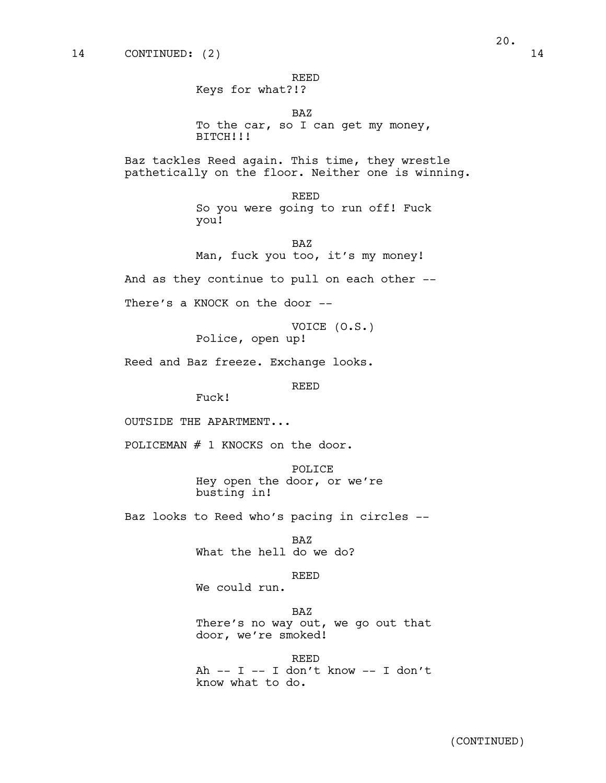REED

Keys for what?!?

BAZ

To the car, so I can get my money, BITCH!!!

Baz tackles Reed again. This time, they wrestle pathetically on the floor. Neither one is winning.

> REED So you were going to run off! Fuck you!

BAZ Man, fuck you too, it's my money!

And as they continue to pull on each other --

There's a KNOCK on the door --

VOICE (O.S.) Police, open up!

Reed and Baz freeze. Exchange looks.

REED

Fuck!

OUTSIDE THE APARTMENT...

POLICEMAN # 1 KNOCKS on the door.

POLICE Hey open the door, or we're busting in!

Baz looks to Reed who's pacing in circles --

BAZ What the hell do we do?

REED

We could run.

BAZ There's no way out, we go out that door, we're smoked!

REED Ah  $--$  I  $--$  I don't know  $--$  I don't know what to do.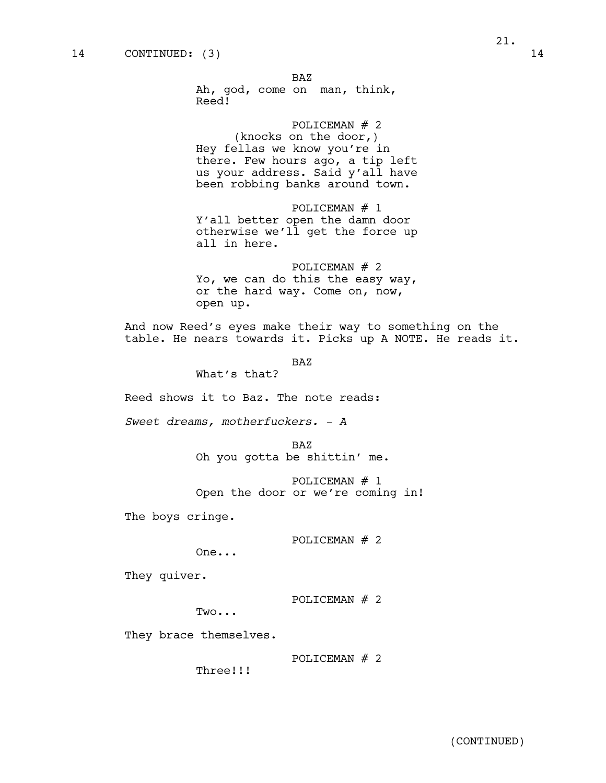BAZ Ah, god, come on man, think, Reed!

POLICEMAN # 2 (knocks on the door,) Hey fellas we know you're in there. Few hours ago, a tip left us your address. Said y'all have been robbing banks around town.

POLICEMAN # 1 Y'all better open the damn door otherwise we'll get the force up all in here.

POLICEMAN # 2 Yo, we can do this the easy way, or the hard way. Come on, now, open up.

And now Reed's eyes make their way to something on the table. He nears towards it. Picks up A NOTE. He reads it.

BAZ

What's that?

Reed shows it to Baz. The note reads:

*Sweet dreams, motherfuckers. - A*

BAZ Oh you gotta be shittin' me.

POLICEMAN # 1 Open the door or we're coming in!

The boys cringe.

POLICEMAN # 2

One...

They quiver.

POLICEMAN # 2

Two...

They brace themselves.

POLICEMAN # 2

Three!!!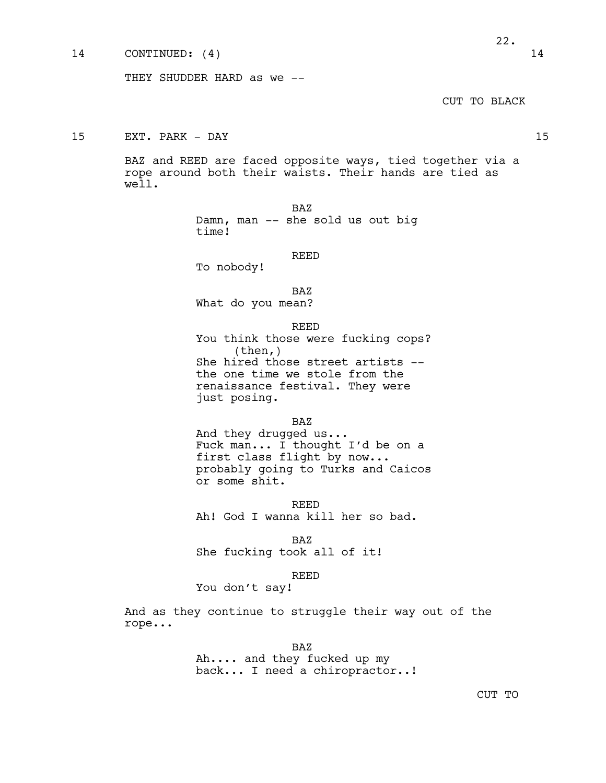### 14 CONTINUED: (4) 14

CUT TO BLACK

15 EXT. PARK - DAY 15

BAZ and REED are faced opposite ways, tied together via a rope around both their waists. Their hands are tied as well.

> BAZ Damn, man -- she sold us out big time!

#### REED

To nobody!

BAZ

What do you mean?

REED

You think those were fucking cops? (then,) She hired those street artists - the one time we stole from the renaissance festival. They were just posing.

#### BAZ

And they drugged us...<br>Fuck man... I thought I'd be on a first class flight by now... probably going to Turks and Caicos or some shit.

REED Ah! God I wanna kill her so bad.

BAZ She fucking took all of it!

#### REED

You don't say!

And as they continue to struggle their way out of the rope...

BAZ

Ah.... and they fucked up my back... I need a chiropractor..!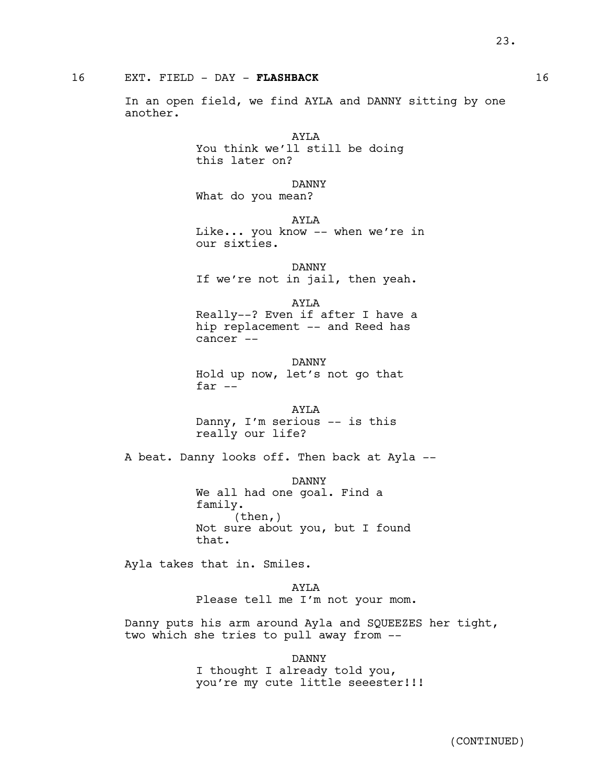# 16 EXT. FIELD - DAY - **FLASHBACK** 16

In an open field, we find AYLA and DANNY sitting by one another.

> AYLA You think we'll still be doing this later on?

DANNY What do you mean?

AYLA Like... you know -- when we're in our sixties.

DANNY If we're not in jail, then yeah.

AYLA

Really--? Even if after I have a hip replacement -- and Reed has cancer --

DANNY Hold up now, let's not go that far --

AYLA Danny, I'm serious -- is this really our life?

A beat. Danny looks off. Then back at Ayla --

DANNY We all had one goal. Find a family. (then,) Not sure about you, but I found that.

Ayla takes that in. Smiles.

AYLA Please tell me I'm not your mom.

Danny puts his arm around Ayla and SQUEEZES her tight, two which she tries to pull away from --

> DANNY I thought I already told you, you're my cute little seeester!!!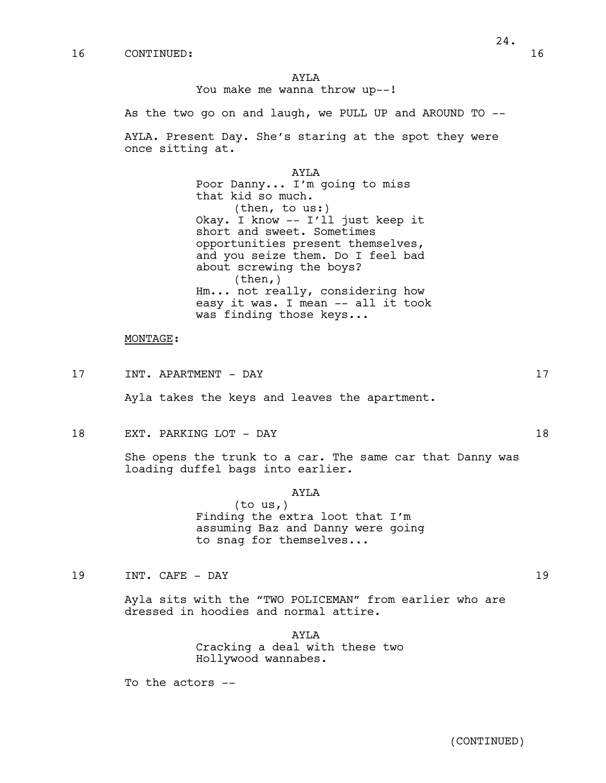AYLA You make me wanna throw up--!

As the two go on and laugh, we PULL UP and AROUND TO --

AYLA. Present Day. She's staring at the spot they were once sitting at.

> AYLA Poor Danny... I'm going to miss that kid so much. (then, to us:) Okay. I know -- I'll just keep it short and sweet. Sometimes opportunities present themselves, and you seize them. Do I feel bad about screwing the boys? (then,) Hm... not really, considering how easy it was. I mean -- all it took was finding those keys...

### MONTAGE:

17 INT. APARTMENT - DAY 17

Ayla takes the keys and leaves the apartment.

18 EXT. PARKING LOT - DAY 18

She opens the trunk to a car. The same car that Danny was loading duffel bags into earlier.

# AYLA

(to us,) Finding the extra loot that I'm assuming Baz and Danny were going to snag for themselves...

19 INT. CAFE - DAY 19

Ayla sits with the "TWO POLICEMAN" from earlier who are dressed in hoodies and normal attire.

> AYLA Cracking a deal with these two Hollywood wannabes.

To the actors --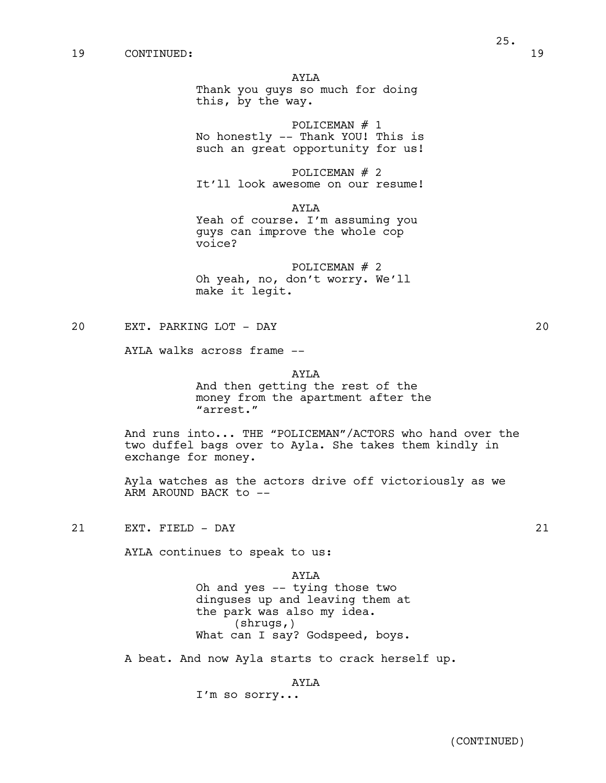AYLA

Thank you guys so much for doing this, by the way.

POLICEMAN # 1 No honestly -- Thank YOU! This is such an great opportunity for us!

POLICEMAN # 2 It'll look awesome on our resume!

AYLA

Yeah of course. I'm assuming you guys can improve the whole cop voice?

POLICEMAN  $#$  2 Oh yeah, no, don't worry. We'll make it legit.

20 EXT. PARKING LOT - DAY 20

AYLA walks across frame --

AYLA

And then getting the rest of the money from the apartment after the "arrest."

And runs into... THE "POLICEMAN"/ACTORS who hand over the two duffel bags over to Ayla. She takes them kindly in exchange for money.

Ayla watches as the actors drive off victoriously as we ARM AROUND BACK to --

21 EXT. FIELD - DAY 21

AYLA continues to speak to us:

AYLA Oh and yes -- tying those two dinguses up and leaving them at the park was also my idea. (shrugs,) What can I say? Godspeed, boys.

A beat. And now Ayla starts to crack herself up.

AYLA

I'm so sorry...